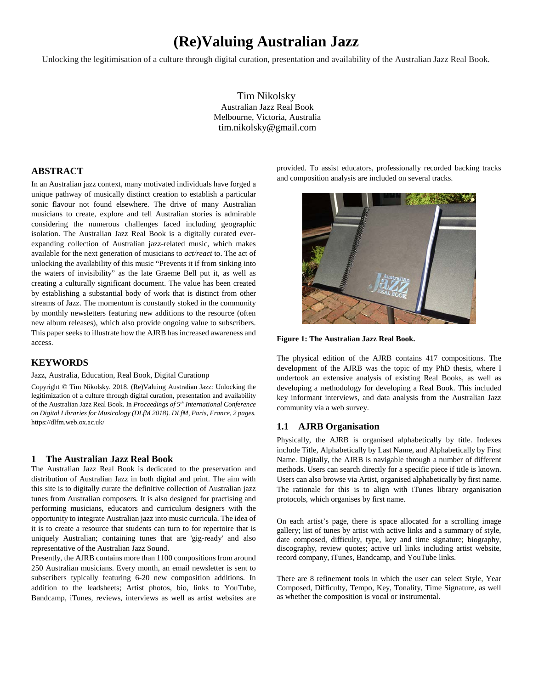# **(Re)Valuing Australian Jazz**

Unlocking the legitimisation of a culture through digital curation, presentation and availability of the Australian Jazz Real Book.

Tim Nikolsky Australian Jazz Real Book Melbourne, Victoria, Australia [tim.nikolsky@gmail.com](mailto:email@email.com)

# **ABSTRACT**

In an Australian jazz context, many motivated individuals have forged a unique pathway of musically distinct creation to establish a particular sonic flavour not found elsewhere. The drive of many Australian musicians to create, explore and tell Australian stories is admirable considering the numerous challenges faced including geographic isolation. The Australian Jazz Real Book is a digitally curated everexpanding collection of Australian jazz-related music, which makes available for the next generation of musicians to *act/react* to. The act of unlocking the availability of this music "Prevents it if from sinking into the waters of invisibility" as the late Graeme Bell put it, as well as creating a culturally significant document. The value has been created by establishing a substantial body of work that is distinct from other streams of Jazz. The momentum is constantly stoked in the community by monthly newsletters featuring new additions to the resource (often new album releases), which also provide ongoing value to subscribers. This paper seeks to illustrate how the AJRB has increased awareness and access.

#### **KEYWORDS**

#### Jazz, Australia, Education, Real Book, Digital Curationp

Copyright © Tim Nikolsky. 2018. (Re)Valuing Australian Jazz: Unlocking the legitimization of a culture through digital curation, presentation and availability of the Australian Jazz Real Book. In *Proceedings of 5th International Conference on Digital Libraries for Musicology (DLfM 2018). DLfM, Paris, France, 2 pages.* https://dlfm.web.ox.ac.uk/

#### **1 The Australian Jazz Real Book**

The Australian Jazz Real Book is dedicated to the preservation and distribution of Australian Jazz in both digital and print. The aim with this site is to digitally curate the definitive collection of Australian jazz tunes from Australian composers. It is also designed for practising and performing musicians, educators and curriculum designers with the opportunity to integrate Australian jazz into music curricula. The idea of it is to create a resource that students can turn to for repertoire that is uniquely Australian; containing tunes that are 'gig-ready' and also representative of the Australian Jazz Sound.

Presently, the AJRB contains more than 1100 compositions from around 250 Australian musicians. Every month, an email newsletter is sent to subscribers typically featuring 6-20 new composition additions. In addition to the leadsheets; Artist photos, bio, links to YouTube, Bandcamp, iTunes, reviews, interviews as well as artist websites are provided. To assist educators, professionally recorded backing tracks and composition analysis are included on several tracks.





The physical edition of the AJRB contains 417 compositions. The development of the AJRB was the topic of my PhD thesis, where I undertook an extensive analysis of existing Real Books, as well as developing a methodology for developing a Real Book. This included key informant interviews, and data analysis from the Australian Jazz community via a web survey.

#### **1.1 AJRB Organisation**

Physically, the AJRB is organised alphabetically by title. Indexes include Title, Alphabetically by Last Name, and Alphabetically by First Name. Digitally, the AJRB is navigable through a number of different methods. Users can search directly for a specific piece if title is known. Users can also browse via Artist, organised alphabetically by first name. The rationale for this is to align with iTunes library organisation protocols, which organises by first name.

On each artist's page, there is space allocated for a scrolling image gallery; list of tunes by artist with active links and a summary of style, date composed, difficulty, type, key and time signature; biography, discography, review quotes; active url links including artist website, record company, iTunes, Bandcamp, and YouTube links.

There are 8 refinement tools in which the user can select Style, Year Composed, Difficulty, Tempo, Key, Tonality, Time Signature, as well as whether the composition is vocal or instrumental.